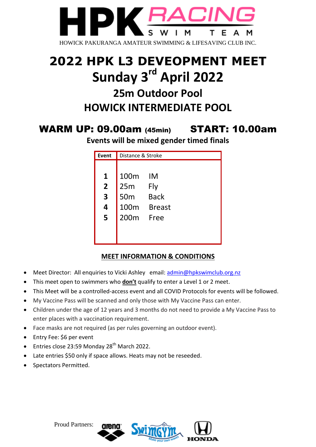

# **2022 HPK L3 DEVEOPMENT MEET Sunday 3 rd April 2022 25m Outdoor Pool HOWICK INTERMEDIATE POOL**

## WARM UP: 09.00am (45min) START: 10.00am

**Events will be mixed gender timed finals**

| <b>Event</b>            | Distance & Stroke |               |
|-------------------------|-------------------|---------------|
|                         |                   |               |
| 1                       | 100m              | IM            |
| $\overline{2}$          | 25m               | Fly           |
| $\overline{\mathbf{3}}$ | 50 <sub>m</sub>   | <b>Back</b>   |
| $\overline{\mathbf{4}}$ | 100m              | <b>Breast</b> |
| 5                       | 200 <sub>m</sub>  | <b>Free</b>   |
|                         |                   |               |
|                         |                   |               |

### **MEET INFORMATION & CONDITIONS**

- Meet Director: All enquiries to Vicki Ashley email: [admin@hpkswimclub.org.nz](mailto:admin@hpkswimclub.org.nz)
- This meet open to swimmers who **don't** qualify to enter a Level 1 or 2 meet.
- This Meet will be a controlled-access event and all COVID Protocols for events will be followed.
- My Vaccine Pass will be scanned and only those with My Vaccine Pass can enter.
- Children under the age of 12 years and 3 months do not need to provide a My Vaccine Pass to enter places with a vaccination requirement.
- Face masks are not required (as per rules governing an outdoor event).
- Entry Fee: \$6 per event
- **Entries close 23:59 Monday 28<sup>th</sup> March 2022.**
- Late entries \$50 only if space allows. Heats may not be reseeded.
- Spectators Permitted.

#### Proud Partners: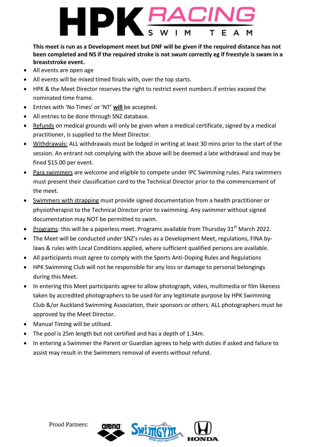

**This meet is run as a Development meet but DNF will be given if the required distance has not been completed and NS if the required stroke is not swum correctly eg if freestyle is swam in a breaststroke event.**

- All events are open age
- All events will be mixed timed finals with, over the top starts.
- HPK & the Meet Director reserves the right to restrict event numbers if entries exceed the nominated time frame.
- Entries with 'No Times' or 'NT' **will** be accepted.
- All entries to be done through SNZ database.
- Refunds on medical grounds will only be given when a medical certificate, signed by a medical practitioner, is supplied to the Meet Director.
- Withdrawals: ALL withdrawals must be lodged in writing at least 30 mins prior to the start of the session. An entrant not complying with the above will be deemed a late withdrawal and may be fined \$15.00 per event.
- Para swimmers are welcome and eligible to compete under IPC Swimming rules. Para swimmers must present their classification card to the Technical Director prior to the commencement of the meet.
- Swimmers with strapping must provide signed documentation from a health practitioner or physiotherapist to the Technical Director prior to swimming. Any swimmer without signed documentation may NOT be permitted to swim.
- Programs: this will be a paperless meet. Programs available from Thursday  $31<sup>st</sup>$  March 2022.
- The Meet will be conducted under SNZ's rules as a Development Meet, regulations, FINA bylaws & rules with Local Conditions applied, where sufficient qualified persons are available.
- All participants must agree to comply with the Sports Anti-Doping Rules and Regulations
- HPK Swimming Club will not be responsible for any loss or damage to personal belongings during this Meet.
- In entering this Meet participants agree to allow photograph, video, multimedia or film likeness taken by accredited photographers to be used for any legitimate purpose by HPK Swimming Club &/or Auckland Swimming Association, their sponsors or others. ALL photographers must be approved by the Meet Director.
- Manual Timing will be utilised.
- The pool is 25m length but not certified and has a depth of 1.34m.
- In entering a Swimmer the Parent or Guardian agrees to help with duties if asked and failure to assist may result in the Swimmers removal of events without refund.